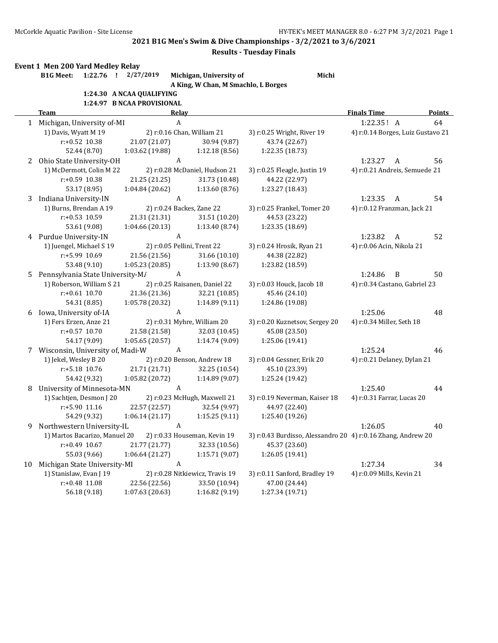**2021 B1G Men's Swim & Dive Championships - 3/2/2021 to 3/6/2021**

## **Results - Tuesday Finals**

| Event 1 Men 200 Yard Medley Relay |  |  |
|-----------------------------------|--|--|
|                                   |  |  |

**B1G Meet: 1:22.76 ! 2/27/2019 Michigan, University of Michi A King, W Chan, M Smachlo, L Borges**

|  |  | 1:24.30 A NCAA QUALIFYING |  |
|--|--|---------------------------|--|
|--|--|---------------------------|--|

|    |                                                            | 1:24.97 B NCAA PROVISIONAL                                    |                               |                                                              |                               |                                   |  |
|----|------------------------------------------------------------|---------------------------------------------------------------|-------------------------------|--------------------------------------------------------------|-------------------------------|-----------------------------------|--|
|    | Team                                                       | Relav                                                         |                               |                                                              | <b>Finals Time</b>            | Points                            |  |
|    | 1 Michigan, University of-MI                               | A                                                             |                               |                                                              | 1:22.35! A                    | 64                                |  |
|    | 1) Davis, Wyatt M 19                                       | 2) r:0.16 Chan, William 21                                    |                               | 3) r:0.25 Wright, River 19                                   |                               | 4) r:0.14 Borges, Luiz Gustavo 21 |  |
|    | r:+0.52 10.38                                              | 21.07 (21.07)                                                 | 30.94 (9.87)                  | 43.74 (22.67)                                                |                               |                                   |  |
|    | 52.44 (8.70)                                               | 1:03.62 (19.88)                                               | 1:12.18(8.56)                 | 1:22.35 (18.73)                                              |                               |                                   |  |
| 2  | Ohio State University-OH                                   | A                                                             |                               |                                                              | 1:23.27<br>A                  | 56                                |  |
|    | 1) McDermott, Colin M 22                                   |                                                               | 2) r:0.28 McDaniel, Hudson 21 | 3) r:0.25 Fleagle, Justin 19                                 | 4) r:0.21 Andreis, Semuede 21 |                                   |  |
|    | r:+0.59 10.38                                              | 21.25 (21.25)                                                 | 31.73 (10.48)                 | 44.22 (22.97)                                                |                               |                                   |  |
|    | 53.17 (8.95)                                               | 1:04.84 (20.62)                                               | 1:13.60(8.76)                 | 1:23.27 (18.43)                                              |                               |                                   |  |
| 3  | Indiana University-IN                                      | A                                                             |                               |                                                              | 1:23.35<br>A                  | 54                                |  |
|    | 1) Burns, Brendan A 19                                     | 2) r:0.24 Backes, Zane 22                                     |                               | 3) r:0.25 Frankel, Tomer 20                                  | 4) r:0.12 Franzman, Jack 21   |                                   |  |
|    | $r: +0.53$ 10.59                                           | 21.31 (21.31)                                                 | 31.51 (10.20)                 | 44.53 (23.22)                                                |                               |                                   |  |
|    | 53.61 (9.08)                                               | 1:04.66 (20.13)                                               | 1:13.40 (8.74)                | 1:23.35 (18.69)                                              |                               |                                   |  |
|    | 4 Purdue University-IN                                     | A                                                             |                               |                                                              | 1:23.82<br>A                  | 52                                |  |
|    | 1) Juengel, Michael S 19                                   | 2) r:0.05 Pellini, Trent 22                                   |                               | 3) r:0.24 Hrosik, Ryan 21                                    | 4) r:0.06 Acin, Nikola 21     |                                   |  |
|    | r:+5.99 10.69                                              | 21.56 (21.56)                                                 | 31.66 (10.10)                 | 44.38 (22.82)                                                |                               |                                   |  |
|    | 53.48 (9.10)                                               | 1:05.23 (20.85)                                               | 1:13.90 (8.67)                | 1:23.82 (18.59)                                              |                               |                                   |  |
| 5. | Pennsylvania State University-M/                           | A                                                             |                               |                                                              | 1:24.86<br>B                  | 50                                |  |
|    | 1) Roberson, William S 21<br>2) r:0.25 Raisanen, Daniel 22 |                                                               |                               | 3) r:0.03 Houck, Jacob 18                                    | 4) r:0.34 Castano, Gabriel 23 |                                   |  |
|    | $r: +0.61$ 10.70                                           | 21.36 (21.36)                                                 | 32.21 (10.85)                 | 45.46 (24.10)                                                |                               |                                   |  |
|    | 54.31 (8.85)                                               | 1:05.78 (20.32)                                               | 1:14.89(9.11)                 | 1:24.86 (19.08)                                              |                               |                                   |  |
|    | 6 Iowa, University of-IA                                   | A                                                             |                               |                                                              | 1:25.06                       | 48                                |  |
|    | 1) Fers Erzen, Anze 21                                     | 2) r:0.31 Myhre, William 20                                   |                               | 3) r:0.20 Kuznetsov, Sergey 20                               | 4) r:0.34 Miller, Seth 18     |                                   |  |
|    | $r: +0.57$ 10.70                                           | 21.58 (21.58)                                                 | 32.03 (10.45)                 | 45.08 (23.50)                                                |                               |                                   |  |
|    | 54.17 (9.09)                                               | 1:05.65(20.57)                                                | 1:14.74 (9.09)                | 1:25.06 (19.41)                                              |                               |                                   |  |
|    | 7 Wisconsin, University of, Madi-W                         | A                                                             |                               |                                                              | 1:25.24                       | 46                                |  |
|    | 1) Jekel, Wesley B 20<br>2) r:0.20 Benson, Andrew 18       |                                                               | 3) r:0.04 Gessner, Erik 20    | 4) r:0.21 Delaney, Dylan 21                                  |                               |                                   |  |
|    | r:+5.18 10.76                                              | 21.71 (21.71)                                                 | 32.25 (10.54)                 | 45.10 (23.39)                                                |                               |                                   |  |
|    | 54.42 (9.32)                                               | 1:05.82 (20.72)                                               | 1:14.89(9.07)                 | 1:25.24 (19.42)                                              |                               |                                   |  |
| 8  | <b>University of Minnesota-MN</b>                          | A                                                             |                               |                                                              | 1:25.40                       | 44                                |  |
|    | 1) Sachtjen, Desmon J 20<br>2) r:0.23 McHugh, Maxwell 21   |                                                               | 3) r:0.19 Neverman, Kaiser 18 | 4) r:0.31 Farrar, Lucas 20                                   |                               |                                   |  |
|    | r:+5.90 11.16                                              | 22.57 (22.57)                                                 | 32.54 (9.97)                  | 44.97 (22.40)                                                |                               |                                   |  |
|    | 54.29 (9.32)                                               | 1:06.14(21.17)                                                | 1:15.25(9.11)                 | 1:25.40 (19.26)                                              |                               |                                   |  |
| 9  | Northwestern University-IL                                 | A                                                             |                               |                                                              | 1:26.05                       | 40                                |  |
|    |                                                            | 1) Martos Bacarizo, Manuel 20<br>2) r:0.33 Houseman, Kevin 19 |                               | 3) r:0.43 Burdisso, Alessandro 20 4) r:0.16 Zhang, Andrew 20 |                               |                                   |  |
|    | $r: +0.49$ 10.67                                           | 21.77 (21.77)                                                 | 32.33 (10.56)                 | 45.37 (23.60)                                                |                               |                                   |  |
|    | 55.03 (9.66)                                               | 1:06.64(21.27)                                                | 1:15.71(9.07)                 | 1:26.05(19.41)                                               |                               |                                   |  |
| 10 | Michigan State University-MI                               | A                                                             |                               |                                                              | 1:27.34                       | 34                                |  |
|    | 1) Stanislaw, Evan J 19<br>2) r:0.28 Nitkiewicz, Travis 19 |                                                               |                               | 3) r:0.11 Sanford, Bradley 19                                | 4) r:0.09 Mills, Kevin 21     |                                   |  |
|    | r:+0.48 11.08                                              | 22.56 (22.56)                                                 | 33.50 (10.94)                 | 47.00 (24.44)                                                |                               |                                   |  |
|    | 56.18 (9.18)                                               | 1:07.63(20.63)                                                | 1:16.82(9.19)                 | 1:27.34 (19.71)                                              |                               |                                   |  |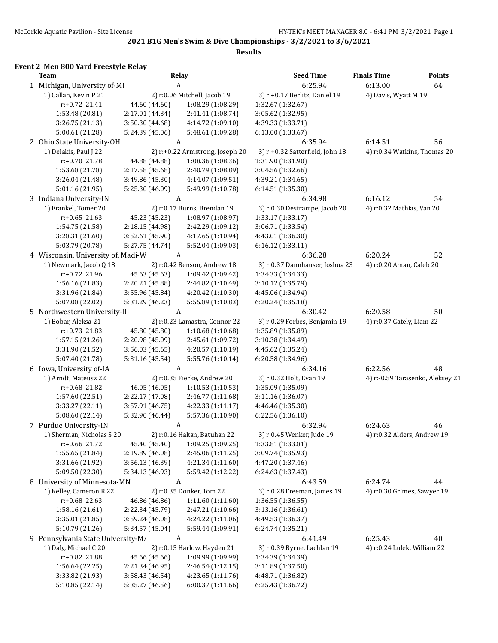**2021 B1G Men's Swim & Dive Championships - 3/2/2021 to 3/6/2021**

**Results**

## **Event 2 Men 800 Yard Freestyle Relay**

| <b>Team</b>                                           |                 | <b>Relay</b>                    | <b>Seed Time</b>                | <b>Finals Time</b>           | <b>Points</b>                    |
|-------------------------------------------------------|-----------------|---------------------------------|---------------------------------|------------------------------|----------------------------------|
| 1 Michigan, University of-MI<br>A                     |                 | 6:25.94                         | 6:13.00                         | 64                           |                                  |
| 1) Callan, Kevin P 21<br>2) r:0.06 Mitchell, Jacob 19 |                 | 3) r:+0.17 Berlitz, Daniel 19   | 4) Davis, Wyatt M 19            |                              |                                  |
| r:+0.72 21.41                                         | 44.60 (44.60)   | 1:08.29 (1:08.29)               | 1:32.67 (1:32.67)               |                              |                                  |
| 1:53.48 (20.81)                                       | 2:17.01 (44.34) | 2:41.41 (1:08.74)               | 3:05.62 (1:32.95)               |                              |                                  |
| 3:26.75 (21.13)                                       | 3:50.30 (44.68) | 4:14.72 (1:09.10)               | 4:39.33 (1:33.71)               |                              |                                  |
| 5:00.61 (21.28)                                       | 5:24.39 (45.06) | 5:48.61 (1:09.28)               | 6:13.00 (1:33.67)               |                              |                                  |
| 2 Ohio State University-OH                            |                 | A                               | 6:35.94                         | 6:14.51                      | 56                               |
| 1) Delakis, Paul J 22                                 |                 | 2) r:+0.22 Armstrong, Joseph 20 | 3) r:+0.32 Satterfield, John 18 | 4) r:0.34 Watkins, Thomas 20 |                                  |
| r:+0.70 21.78                                         | 44.88 (44.88)   | 1:08.36 (1:08.36)               | 1:31.90 (1:31.90)               |                              |                                  |
| 1:53.68 (21.78)                                       | 2:17.58 (45.68) | 2:40.79 (1:08.89)               | 3:04.56 (1:32.66)               |                              |                                  |
| 3:26.04 (21.48)                                       | 3:49.86 (45.30) | 4:14.07 (1:09.51)               | 4:39.21 (1:34.65)               |                              |                                  |
| 5:01.16(21.95)                                        | 5:25.30 (46.09) | 5:49.99 (1:10.78)               | 6:14.51 (1:35.30)               |                              |                                  |
| 3 Indiana University-IN                               |                 | A                               | 6:34.98                         | 6:16.12                      | 54                               |
| 1) Frankel, Tomer 20                                  |                 | 2) r:0.17 Burns, Brendan 19     | 3) r:0.30 Destrampe, Jacob 20   | 4) r:0.32 Mathias, Van 20    |                                  |
| $r: +0.65$ 21.63                                      | 45.23 (45.23)   | 1:08.97 (1:08.97)               | 1:33.17 (1:33.17)               |                              |                                  |
| 1:54.75 (21.58)                                       | 2:18.15 (44.98) | 2:42.29 (1:09.12)               | 3:06.71 (1:33.54)               |                              |                                  |
| 3:28.31 (21.60)                                       | 3:52.61 (45.90) | 4:17.65 (1:10.94)               | 4:43.01 (1:36.30)               |                              |                                  |
| 5:03.79 (20.78)                                       | 5:27.75 (44.74) | 5:52.04 (1:09.03)               | 6:16.12 (1:33.11)               |                              |                                  |
| 4 Wisconsin, University of, Madi-W                    |                 | A                               | 6:36.28                         | 6:20.24                      | 52                               |
| 1) Newmark, Jacob Q 18                                |                 | 2) r:0.42 Benson, Andrew 18     | 3) r:0.37 Dannhauser, Joshua 23 | 4) r:0.20 Aman, Caleb 20     |                                  |
| r:+0.72 21.96                                         | 45.63 (45.63)   | 1:09.42 (1:09.42)               | 1:34.33 (1:34.33)               |                              |                                  |
| 1:56.16 (21.83)                                       | 2:20.21 (45.88) | 2:44.82 (1:10.49)               | 3:10.12 (1:35.79)               |                              |                                  |
| 3:31.96 (21.84)                                       | 3:55.96 (45.84) | 4:20.42 (1:10.30)               | 4:45.06 (1:34.94)               |                              |                                  |
| 5:07.08 (22.02)                                       | 5:31.29 (46.23) | 5:55.89 (1:10.83)               | 6:20.24 (1:35.18)               |                              |                                  |
| 5 Northwestern University-IL                          |                 | A                               | 6:30.42                         | 6:20.58                      | 50                               |
| 1) Bobar, Aleksa 21                                   |                 | 2) r:0.23 Lamastra, Connor 22   | 3) r:0.29 Forbes, Benjamin 19   | 4) r:0.37 Gately, Liam 22    |                                  |
| $r: +0.73$ 21.83                                      | 45.80 (45.80)   | 1:10.68 (1:10.68)               | 1:35.89 (1:35.89)               |                              |                                  |
| 1:57.15 (21.26)                                       | 2:20.98 (45.09) | 2:45.61 (1:09.72)               | 3:10.38 (1:34.49)               |                              |                                  |
| 3:31.90 (21.52)                                       | 3:56.03(45.65)  | 4:20.57 (1:10.19)               | 4:45.62 (1:35.24)               |                              |                                  |
| 5:07.40 (21.78)                                       | 5:31.16 (45.54) | 5:55.76 (1:10.14)               | 6:20.58 (1:34.96)               |                              |                                  |
| 6 Iowa, University of-IA                              |                 | A                               | 6:34.16                         | 6:22.56                      | 48                               |
| 1) Arndt, Mateusz 22                                  |                 | 2) r:0.35 Fierke, Andrew 20     | 3) r:0.32 Holt, Evan 19         |                              | 4) r:-0.59 Tarasenko, Aleksey 21 |
| r:+0.68 21.82                                         | 46.05 (46.05)   | 1:10.53 (1:10.53)               | 1:35.09 (1:35.09)               |                              |                                  |
| 1:57.60 (22.51)                                       | 2:22.17 (47.08) | 2:46.77 (1:11.68)               | 3:11.16 (1:36.07)               |                              |                                  |
| 3:33.27 (22.11)                                       | 3:57.91 (46.75) | 4:22.33 (1:11.17)               | 4:46.46 (1:35.30)               |                              |                                  |
| 5:08.60 (22.14)                                       | 5:32.90 (46.44) | 5:57.36 (1:10.90)               | 6:22.56 (1:36.10)               |                              |                                  |
| 7 Purdue University-IN                                |                 | A                               | 6:32.94                         | 6:24.63                      | 46                               |
| 1) Sherman, Nicholas S 20                             |                 | 2) r:0.16 Hakan, Batuhan 22     | 3) r:0.45 Wenker, Jude 19       | 4) r:0.32 Alders, Andrew 19  |                                  |
| r:+0.66 21.72                                         | 45.40 (45.40)   | 1:09.25 (1:09.25)               | 1:33.81 (1:33.81)               |                              |                                  |
| 1:55.65 (21.84)                                       | 2:19.89 (46.08) | 2:45.06 (1:11.25)               | 3:09.74 (1:35.93)               |                              |                                  |
| 3:31.66 (21.92)                                       | 3:56.13 (46.39) | 4:21.34 (1:11.60)               | 4:47.20 (1:37.46)               |                              |                                  |
| 5:09.50 (22.30)                                       | 5:34.13 (46.93) | 5:59.42 (1:12.22)               | 6:24.63 (1:37.43)               |                              |                                  |
| 8 University of Minnesota-MN                          |                 | A                               | 6:43.59                         | 6:24.74                      | 44                               |
| 1) Kelley, Cameron R 22                               |                 | 2) r:0.35 Donker, Tom 22        | 3) r:0.28 Freeman, James 19     | 4) r:0.30 Grimes, Sawyer 19  |                                  |
| $r: +0.68$ 22.63                                      | 46.86 (46.86)   | 1:11.60 (1:11.60)               | 1:36.55 (1:36.55)               |                              |                                  |
| 1:58.16 (21.61)                                       | 2:22.34 (45.79) | 2:47.21 (1:10.66)               | 3:13.16 (1:36.61)               |                              |                                  |
| 3:35.01 (21.85)                                       | 3:59.24 (46.08) | 4:24.22 (1:11.06)               | 4:49.53 (1:36.37)               |                              |                                  |
| 5:10.79 (21.26)                                       | 5:34.57 (45.04) | 5:59.44 (1:09.91)               | 6:24.74 (1:35.21)               |                              |                                  |
| 9 Pennsylvania State University-M/                    |                 | A                               | 6:41.49                         | 6:25.43                      | 40                               |
| 1) Daly, Michael C 20                                 |                 | 2) r:0.15 Harlow, Hayden 21     | 3) r:0.39 Byrne, Lachlan 19     | 4) r:0.24 Lulek, William 22  |                                  |
| r:+0.82 21.88                                         | 45.66 (45.66)   | 1:09.99 (1:09.99)               | 1:34.39 (1:34.39)               |                              |                                  |
| 1:56.64 (22.25)                                       | 2:21.34 (46.95) | 2:46.54 (1:12.15)               | 3:11.89 (1:37.50)               |                              |                                  |
| 3:33.82 (21.93)                                       | 3:58.43 (46.54) | 4:23.65 (1:11.76)               | 4:48.71 (1:36.82)               |                              |                                  |
| 5:10.85 (22.14)                                       | 5:35.27 (46.56) | 6:00.37 (1:11.66)               | 6:25.43 (1:36.72)               |                              |                                  |